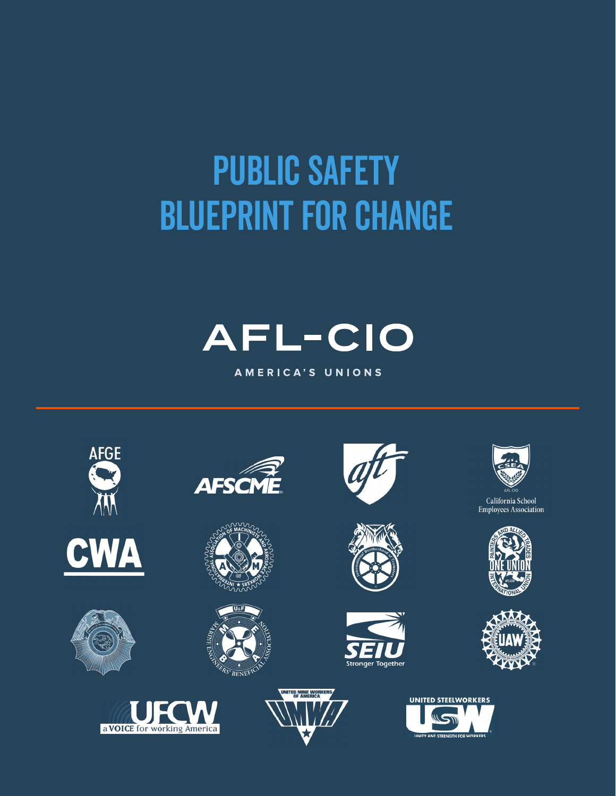# PUBLIC SAFETY Blueprint for Change



AMERICA'S UNIONS

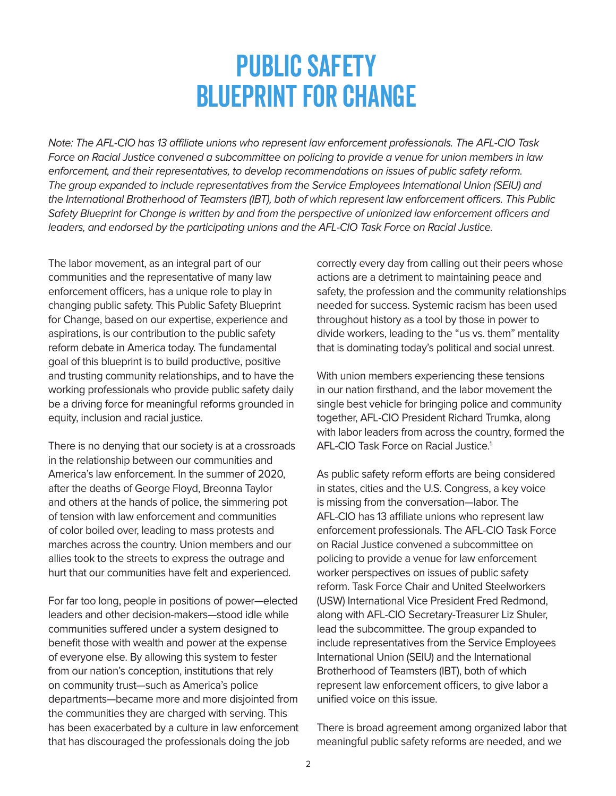# Public Safety Blueprint for Change

<span id="page-1-0"></span>Note: The AFL-CIO has 13 affiliate unions who represent law enforcement professionals. The AFL-CIO Task Force on Racial Justice convened a subcommittee on policing to provide a venue for union members in law enforcement, and their representatives, to develop recommendations on issues of public safety reform. The group expanded to include representatives from the Service Employees International Union (SEIU) and the International Brotherhood of Teamsters (IBT), both of which represent law enforcement officers. This Public Safety Blueprint for Change is written by and from the perspective of unionized law enforcement officers and leaders, and endorsed by the participating unions and the AFL-CIO Task Force on Racial Justice.

The labor movement, as an integral part of our communities and the representative of many law enforcement officers, has a unique role to play in changing public safety. This Public Safety Blueprint for Change, based on our expertise, experience and aspirations, is our contribution to the public safety reform debate in America today. The fundamental goal of this blueprint is to build productive, positive and trusting community relationships, and to have the working professionals who provide public safety daily be a driving force for meaningful reforms grounded in equity, inclusion and racial justice.

There is no denying that our society is at a crossroads in the relationship between our communities and America's law enforcement. In the summer of 2020, after the deaths of George Floyd, Breonna Taylor and others at the hands of police, the simmering pot of tension with law enforcement and communities of color boiled over, leading to mass protests and marches across the country. Union members and our allies took to the streets to express the outrage and hurt that our communities have felt and experienced.

For far too long, people in positions of power—elected leaders and other decision-makers—stood idle while communities suffered under a system designed to benefit those with wealth and power at the expense of everyone else. By allowing this system to fester from our nation's conception, institutions that rely on community trust—such as America's police departments—became more and more disjointed from the communities they are charged with serving. This has been exacerbated by a culture in law enforcement that has discouraged the professionals doing the job

correctly every day from calling out their peers whose actions are a detriment to maintaining peace and safety, the profession and the community relationships needed for success. Systemic racism has been used throughout history as a tool by those in power to divide workers, leading to the "us vs. them" mentality that is dominating today's political and social unrest.

With union members experiencing these tensions in our nation firsthand, and the labor movement the single best vehicle for bringing police and community together, AFL-CIO President Richard Trumka, along with labor leaders from across the country, formed the AFL-CIO Task Force on Racial Justice[.1](#page-11-0)

As public safety reform efforts are being considered in states, cities and the U.S. Congress, a key voice is missing from the conversation—labor. The AFL-CIO has 13 affiliate unions who represent law enforcement professionals. The AFL-CIO Task Force on Racial Justice convened a subcommittee on policing to provide a venue for law enforcement worker perspectives on issues of public safety reform. Task Force Chair and United Steelworkers (USW) International Vice President Fred Redmond, along with AFL-CIO Secretary-Treasurer Liz Shuler, lead the subcommittee. The group expanded to include representatives from the Service Employees International Union (SEIU) and the International Brotherhood of Teamsters (IBT), both of which represent law enforcement officers, to give labor a unified voice on this issue.

There is broad agreement among organized labor that meaningful public safety reforms are needed, and we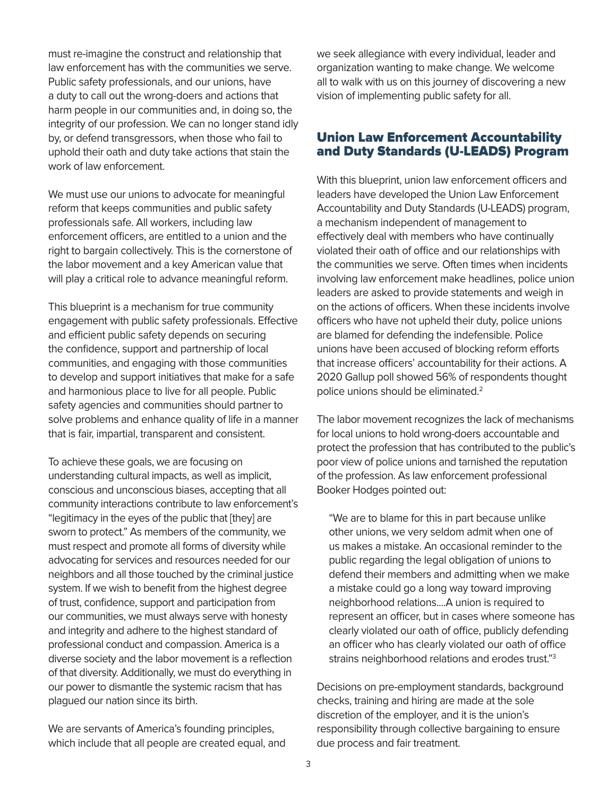<span id="page-2-0"></span>must re-imagine the construct and relationship that law enforcement has with the communities we serve. Public safety professionals, and our unions, have a duty to call out the wrong-doers and actions that harm people in our communities and, in doing so, the integrity of our profession. We can no longer stand idly by, or defend transgressors, when those who fail to uphold their oath and duty take actions that stain the work of law enforcement.

We must use our unions to advocate for meaningful reform that keeps communities and public safety professionals safe. All workers, including law enforcement officers, are entitled to a union and the right to bargain collectively. This is the cornerstone of the labor movement and a key American value that will play a critical role to advance meaningful reform.

This blueprint is a mechanism for true community engagement with public safety professionals. Effective and efficient public safety depends on securing the confidence, support and partnership of local communities, and engaging with those communities to develop and support initiatives that make for a safe and harmonious place to live for all people. Public safety agencies and communities should partner to solve problems and enhance quality of life in a manner that is fair, impartial, transparent and consistent.

To achieve these goals, we are focusing on understanding cultural impacts, as well as implicit, conscious and unconscious biases, accepting that all community interactions contribute to law enforcement's "legitimacy in the eyes of the public that [they] are sworn to protect." As members of the community, we must respect and promote all forms of diversity while advocating for services and resources needed for our neighbors and all those touched by the criminal justice system. If we wish to benefit from the highest degree of trust, confidence, support and participation from our communities, we must always serve with honesty and integrity and adhere to the highest standard of professional conduct and compassion. America is a diverse society and the labor movement is a reflection of that diversity. Additionally, we must do everything in our power to dismantle the systemic racism that has plagued our nation since its birth.

We are servants of America's founding principles, which include that all people are created equal, and we seek allegiance with every individual, leader and organization wanting to make change. We welcome all to walk with us on this journey of discovering a new vision of implementing public safety for all.

# Union Law Enforcement Accountability and Duty Standards (U-LEADS) Program

With this blueprint, union law enforcement officers and leaders have developed the Union Law Enforcement Accountability and Duty Standards (U-LEADS) program, a mechanism independent of management to effectively deal with members who have continually violated their oath of office and our relationships with the communities we serve. Often times when incidents involving law enforcement make headlines, police union leaders are asked to provide statements and weigh in on the actions of officers. When these incidents involve officers who have not upheld their duty, police unions are blamed for defending the indefensible. Police unions have been accused of blocking reform efforts that increase officers' accountability for their actions. A 2020 Gallup poll showed 56% of respondents thought police unions should be eliminated[.2](#page-11-0)

The labor movement recognizes the lack of mechanisms for local unions to hold wrong-doers accountable and protect the profession that has contributed to the public's poor view of police unions and tarnished the reputation of the profession. As law enforcement professional Booker Hodges pointed out:

"We are to blame for this in part because unlike other unions, we very seldom admit when one of us makes a mistake. An occasional reminder to the public regarding the legal obligation of unions to defend their members and admitting when we make a mistake could go a long way toward improving neighborhood relations....A union is required to represent an officer, but in cases where someone has clearly violated our oath of office, publicly defending an officer who has clearly violated our oath of office strains neighborhood relations and erodes trust.["3](#page-11-0)

Decisions on pre-employment standards, background checks, training and hiring are made at the sole discretion of the employer, and it is the union's responsibility through collective bargaining to ensure due process and fair treatment.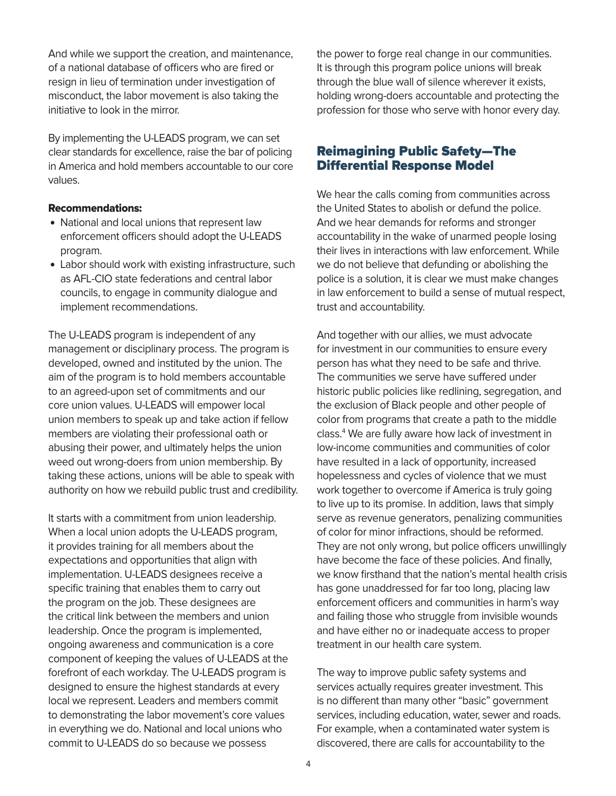<span id="page-3-0"></span>And while we support the creation, and maintenance, of a national database of officers who are fired or resign in lieu of termination under investigation of misconduct, the labor movement is also taking the initiative to look in the mirror.

By implementing the U-LEADS program, we can set clear standards for excellence, raise the bar of policing in America and hold members accountable to our core values.

#### Recommendations:

- National and local unions that represent law enforcement officers should adopt the U-LEADS program.
- Labor should work with existing infrastructure, such as AFL-CIO state federations and central labor councils, to engage in community dialogue and implement recommendations.

The U-LEADS program is independent of any management or disciplinary process. The program is developed, owned and instituted by the union. The aim of the program is to hold members accountable to an agreed-upon set of commitments and our core union values. U-LEADS will empower local union members to speak up and take action if fellow members are violating their professional oath or abusing their power, and ultimately helps the union weed out wrong-doers from union membership. By taking these actions, unions will be able to speak with authority on how we rebuild public trust and credibility.

It starts with a commitment from union leadership. When a local union adopts the U-LEADS program, it provides training for all members about the expectations and opportunities that align with implementation. U-LEADS designees receive a specific training that enables them to carry out the program on the job. These designees are the critical link between the members and union leadership. Once the program is implemented, ongoing awareness and communication is a core component of keeping the values of U-LEADS at the forefront of each workday. The U-LEADS program is designed to ensure the highest standards at every local we represent. Leaders and members commit to demonstrating the labor movement's core values in everything we do. National and local unions who commit to U-LEADS do so because we possess

the power to forge real change in our communities. It is through this program police unions will break through the blue wall of silence wherever it exists, holding wrong-doers accountable and protecting the profession for those who serve with honor every day.

## Reimagining Public Safety—The Differential Response Model

We hear the calls coming from communities across the United States to abolish or defund the police. And we hear demands for reforms and stronger accountability in the wake of unarmed people losing their lives in interactions with law enforcement. While we do not believe that defunding or abolishing the police is a solution, it is clear we must make changes in law enforcement to build a sense of mutual respect, trust and accountability.

And together with our allies, we must advocate for investment in our communities to ensure every person has what they need to be safe and thrive. The communities we serve have suffered under historic public policies like redlining, segregation, and the exclusion of Black people and other people of color from programs that create a path to the middle class[.4](#page-11-0) We are fully aware how lack of investment in low-income communities and communities of color have resulted in a lack of opportunity, increased hopelessness and cycles of violence that we must work together to overcome if America is truly going to live up to its promise. In addition, laws that simply serve as revenue generators, penalizing communities of color for minor infractions, should be reformed. They are not only wrong, but police officers unwillingly have become the face of these policies. And finally, we know firsthand that the nation's mental health crisis has gone unaddressed for far too long, placing law enforcement officers and communities in harm's way and failing those who struggle from invisible wounds and have either no or inadequate access to proper treatment in our health care system.

The way to improve public safety systems and services actually requires greater investment. This is no different than many other "basic" government services, including education, water, sewer and roads. For example, when a contaminated water system is discovered, there are calls for accountability to the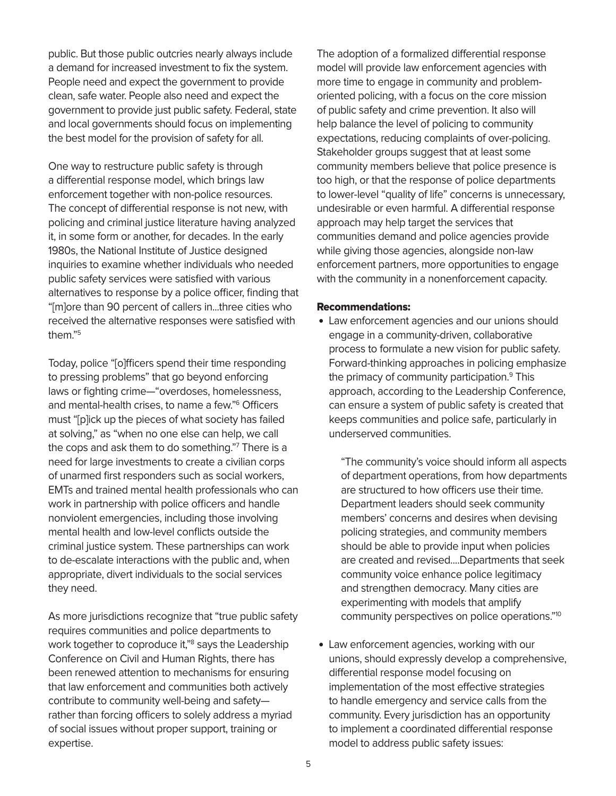<span id="page-4-0"></span>public. But those public outcries nearly always include a demand for increased investment to fix the system. People need and expect the government to provide clean, safe water. People also need and expect the government to provide just public safety. Federal, state and local governments should focus on implementing the best model for the provision of safety for all.

One way to restructure public safety is through a differential response model, which brings law enforcement together with non-police resources. The concept of differential response is not new, with policing and criminal justice literature having analyzed it, in some form or another, for decades. In the early 1980s, the National Institute of Justice designed inquiries to examine whether individuals who needed public safety services were satisfied with various alternatives to response by a police officer, finding that "[m]ore than 90 percent of callers in...three cities who received the alternative responses were satisfied with them.["5](#page-11-0)

Today, police "[o]fficers spend their time responding to pressing problems" that go beyond enforcing laws or fighting crime—"overdoses, homelessness, and mental-health crises, to name a few."[6](#page-11-0) Officers must "[p]ick up the pieces of what society has failed at solving," as "when no one else can help, we call the cops and ask them to do something."[7](#page-11-0) There is a need for large investments to create a civilian corps of unarmed first responders such as social workers, EMTs and trained mental health professionals who can work in partnership with police officers and handle nonviolent emergencies, including those involving mental health and low-level conflicts outside the criminal justice system. These partnerships can work to de-escalate interactions with the public and, when appropriate, divert individuals to the social services they need.

As more jurisdictions recognize that "true public safety requires communities and police departments to work together to coproduce it,"[8](#page-11-0) says the Leadership Conference on Civil and Human Rights, there has been renewed attention to mechanisms for ensuring that law enforcement and communities both actively contribute to community well-being and safety rather than forcing officers to solely address a myriad of social issues without proper support, training or expertise.

The adoption of a formalized differential response model will provide law enforcement agencies with more time to engage in community and problemoriented policing, with a focus on the core mission of public safety and crime prevention. It also will help balance the level of policing to community expectations, reducing complaints of over-policing. Stakeholder groups suggest that at least some community members believe that police presence is too high, or that the response of police departments to lower-level "quality of life" concerns is unnecessary, undesirable or even harmful. A differential response approach may help target the services that communities demand and police agencies provide while giving those agencies, alongside non-law enforcement partners, more opportunities to engage with the community in a nonenforcement capacity.

#### Recommendations:

• Law enforcement agencies and our unions should engage in a community-driven, collaborative process to formulate a new vision for public safety. Forward-thinking approaches in policing emphasize the primacy of community participation[.9](#page-11-0) This approach, according to the Leadership Conference, can ensure a system of public safety is created that keeps communities and police safe, particularly in underserved communities.

"The community's voice should inform all aspects of department operations, from how departments are structured to how officers use their time. Department leaders should seek community members' concerns and desires when devising policing strategies, and community members should be able to provide input when policies are created and revised....Departments that seek community voice enhance police legitimacy and strengthen democracy. Many cities are experimenting with models that amplify community perspectives on police operations.["10](#page-11-0)

• Law enforcement agencies, working with our unions, should expressly develop a comprehensive, differential response model focusing on implementation of the most effective strategies to handle emergency and service calls from the community. Every jurisdiction has an opportunity to implement a coordinated differential response model to address public safety issues: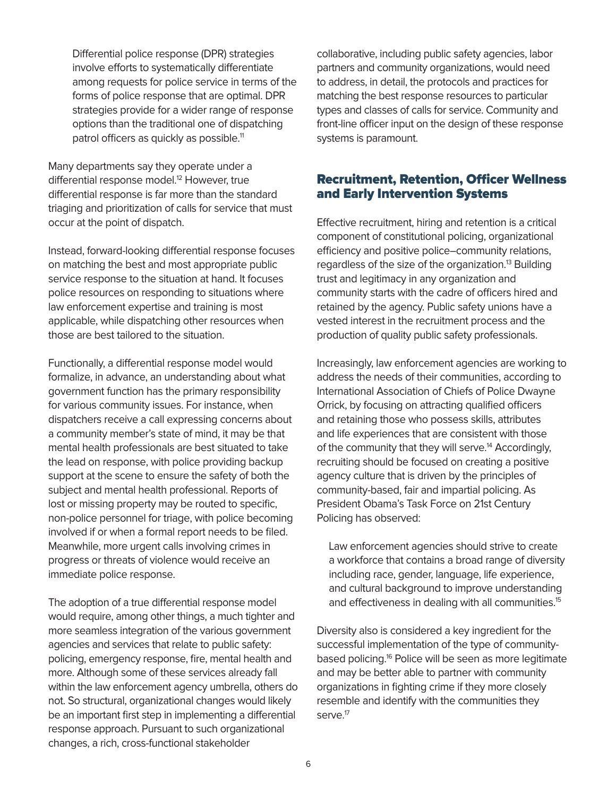<span id="page-5-0"></span>Differential police response (DPR) strategies involve efforts to systematically differentiate among requests for police service in terms of the forms of police response that are optimal. DPR strategies provide for a wider range of response options than the traditional one of dispatching patrol officers as quickly as possible.<sup>11</sup>

Many departments say they operate under a differential response model.<sup>[12](#page-11-0)</sup> However, true differential response is far more than the standard triaging and prioritization of calls for service that must occur at the point of dispatch.

Instead, forward-looking differential response focuses on matching the best and most appropriate public service response to the situation at hand. It focuses police resources on responding to situations where law enforcement expertise and training is most applicable, while dispatching other resources when those are best tailored to the situation.

Functionally, a differential response model would formalize, in advance, an understanding about what government function has the primary responsibility for various community issues. For instance, when dispatchers receive a call expressing concerns about a community member's state of mind, it may be that mental health professionals are best situated to take the lead on response, with police providing backup support at the scene to ensure the safety of both the subject and mental health professional. Reports of lost or missing property may be routed to specific, non-police personnel for triage, with police becoming involved if or when a formal report needs to be filed. Meanwhile, more urgent calls involving crimes in progress or threats of violence would receive an immediate police response.

The adoption of a true differential response model would require, among other things, a much tighter and more seamless integration of the various government agencies and services that relate to public safety: policing, emergency response, fire, mental health and more. Although some of these services already fall within the law enforcement agency umbrella, others do not. So structural, organizational changes would likely be an important first step in implementing a differential response approach. Pursuant to such organizational changes, a rich, cross-functional stakeholder

collaborative, including public safety agencies, labor partners and community organizations, would need to address, in detail, the protocols and practices for matching the best response resources to particular types and classes of calls for service. Community and front-line officer input on the design of these response systems is paramount.

## Recruitment, Retention, Officer Wellness and Early Intervention Systems

Effective recruitment, hiring and retention is a critical component of constitutional policing, organizational efficiency and positive police–community relations, regardless of the size of the organization.<sup>13</sup> Building trust and legitimacy in any organization and community starts with the cadre of officers hired and retained by the agency. Public safety unions have a vested interest in the recruitment process and the production of quality public safety professionals.

Increasingly, law enforcement agencies are working to address the needs of their communities, according to International Association of Chiefs of Police Dwayne Orrick, by focusing on attracting qualified officers and retaining those who possess skills, attributes and life experiences that are consistent with those of the community that they will serve.<sup>14</sup> Accordingly, recruiting should be focused on creating a positive agency culture that is driven by the principles of community-based, fair and impartial policing. As President Obama's Task Force on 21st Century Policing has observed:

Law enforcement agencies should strive to create a workforce that contains a broad range of diversity including race, gender, language, life experience, and cultural background to improve understanding and effectiveness in dealing with all communities.<sup>15</sup>

Diversity also is considered a key ingredient for the successful implementation of the type of communitybased policing.<sup>16</sup> Police will be seen as more legitimate and may be better able to partner with community organizations in fighting crime if they more closely resemble and identify with the communities they serve.<sup>17</sup>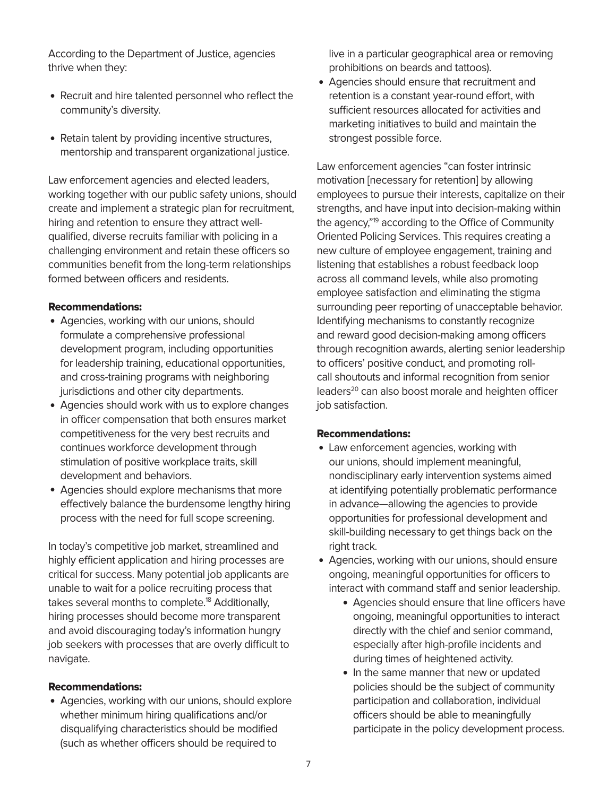<span id="page-6-0"></span>According to the Department of Justice, agencies thrive when they:

- Recruit and hire talented personnel who reflect the community's diversity.
- Retain talent by providing incentive structures, mentorship and transparent organizational justice.

Law enforcement agencies and elected leaders, working together with our public safety unions, should create and implement a strategic plan for recruitment, hiring and retention to ensure they attract wellqualified, diverse recruits familiar with policing in a challenging environment and retain these officers so communities benefit from the long-term relationships formed between officers and residents.

#### Recommendations:

- Agencies, working with our unions, should formulate a comprehensive professional development program, including opportunities for leadership training, educational opportunities, and cross-training programs with neighboring jurisdictions and other city departments.
- Agencies should work with us to explore changes in officer compensation that both ensures market competitiveness for the very best recruits and continues workforce development through stimulation of positive workplace traits, skill development and behaviors.
- Agencies should explore mechanisms that more effectively balance the burdensome lengthy hiring process with the need for full scope screening.

In today's competitive job market, streamlined and highly efficient application and hiring processes are critical for success. Many potential job applicants are unable to wait for a police recruiting process that takes several months to complete.<sup>[18](#page-11-0)</sup> Additionally, hiring processes should become more transparent and avoid discouraging today's information hungry job seekers with processes that are overly difficult to navigate.

#### Recommendations:

• Agencies, working with our unions, should explore whether minimum hiring qualifications and/or disqualifying characteristics should be modified (such as whether officers should be required to

live in a particular geographical area or removing prohibitions on beards and tattoos).

• Agencies should ensure that recruitment and retention is a constant year-round effort, with sufficient resources allocated for activities and marketing initiatives to build and maintain the strongest possible force.

Law enforcement agencies "can foster intrinsic motivation [necessary for retention] by allowing employees to pursue their interests, capitalize on their strengths, and have input into decision-making within the agency,["19](#page-11-0) according to the Office of Community Oriented Policing Services. This requires creating a new culture of employee engagement, training and listening that establishes a robust feedback loop across all command levels, while also promoting employee satisfaction and eliminating the stigma surrounding peer reporting of unacceptable behavior. Identifying mechanisms to constantly recognize and reward good decision-making among officers through recognition awards, alerting senior leadership to officers' positive conduct, and promoting rollcall shoutouts and informal recognition from senior leaders<sup>20</sup> can also boost morale and heighten officer job satisfaction.

#### Recommendations:

- Law enforcement agencies, working with our unions, should implement meaningful, nondisciplinary early intervention systems aimed at identifying potentially problematic performance in advance—allowing the agencies to provide opportunities for professional development and skill-building necessary to get things back on the right track.
- Agencies, working with our unions, should ensure ongoing, meaningful opportunities for officers to interact with command staff and senior leadership.
	- Agencies should ensure that line officers have ongoing, meaningful opportunities to interact directly with the chief and senior command, especially after high-profile incidents and during times of heightened activity.
	- In the same manner that new or updated policies should be the subject of community participation and collaboration, individual officers should be able to meaningfully participate in the policy development process.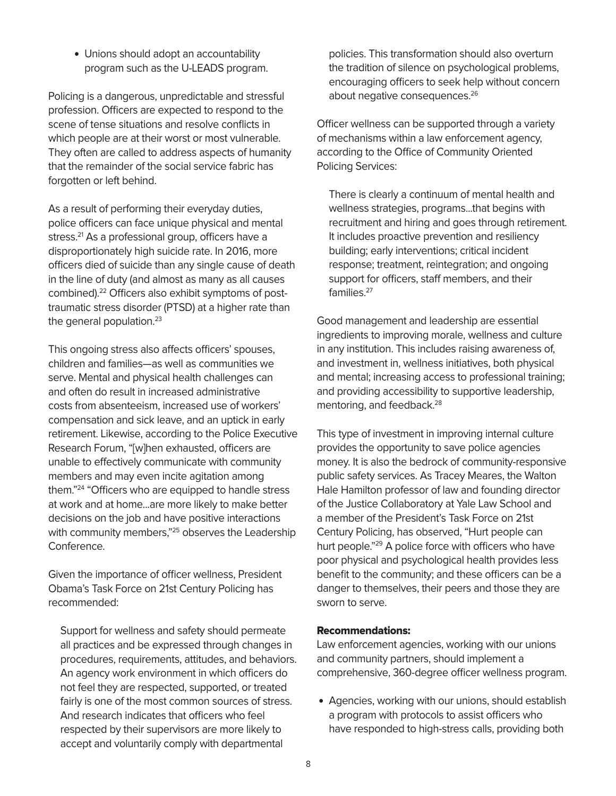<span id="page-7-0"></span>• Unions should adopt an accountability program such as the U-LEADS program.

Policing is a dangerous, unpredictable and stressful profession. Officers are expected to respond to the scene of tense situations and resolve conflicts in which people are at their worst or most vulnerable. They often are called to address aspects of humanity that the remainder of the social service fabric has forgotten or left behind.

As a result of performing their everyday duties, police officers can face unique physical and mental stress.<sup>21</sup> As a professional group, officers have a disproportionately high suicide rate. In 2016, more officers died of suicide than any single cause of death in the line of duty (and almost as many as all causes combined).<sup>22</sup> Officers also exhibit symptoms of posttraumatic stress disorder (PTSD) at a higher rate than the general population. $23$ 

This ongoing stress also affects officers' spouses, children and families—as well as communities we serve. Mental and physical health challenges can and often do result in increased administrative costs from absenteeism, increased use of workers' compensation and sick leave, and an uptick in early retirement. Likewise, according to the Police Executive Research Forum, "[w]hen exhausted, officers are unable to effectively communicate with community members and may even incite agitation among them.["24](#page-12-0) "Officers who are equipped to handle stress at work and at home...are more likely to make better decisions on the job and have positive interactions with community members,"<sup>25</sup> observes the Leadership Conference.

Given the importance of officer wellness, President Obama's Task Force on 21st Century Policing has recommended:

Support for wellness and safety should permeate all practices and be expressed through changes in procedures, requirements, attitudes, and behaviors. An agency work environment in which officers do not feel they are respected, supported, or treated fairly is one of the most common sources of stress. And research indicates that officers who feel respected by their supervisors are more likely to accept and voluntarily comply with departmental

policies. This transformation should also overturn the tradition of silence on psychological problems, encouraging officers to seek help without concern about negative consequences.<sup>26</sup>

Officer wellness can be supported through a variety of mechanisms within a law enforcement agency, according to the Office of Community Oriented Policing Services:

There is clearly a continuum of mental health and wellness strategies, programs...that begins with recruitment and hiring and goes through retirement. It includes proactive prevention and resiliency building; early interventions; critical incident response; treatment, reintegration; and ongoing support for officers, staff members, and their families<sup>27</sup>

Good management and leadership are essential ingredients to improving morale, wellness and culture in any institution. This includes raising awareness of, and investment in, wellness initiatives, both physical and mental; increasing access to professional training; and providing accessibility to supportive leadership, mentoring, and feedback.<sup>28</sup>

This type of investment in improving internal culture provides the opportunity to save police agencies money. It is also the bedrock of community-responsive public safety services. As Tracey Meares, the Walton Hale Hamilton professor of law and founding director of the Justice Collaboratory at Yale Law School and a member of the President's Task Force on 21st Century Policing, has observed, "Hurt people can hurt people."<sup>29</sup> A police force with officers who have poor physical and psychological health provides less benefit to the community; and these officers can be a danger to themselves, their peers and those they are sworn to serve.

#### Recommendations:

Law enforcement agencies, working with our unions and community partners, should implement a comprehensive, 360-degree officer wellness program.

• Agencies, working with our unions, should establish a program with protocols to assist officers who have responded to high-stress calls, providing both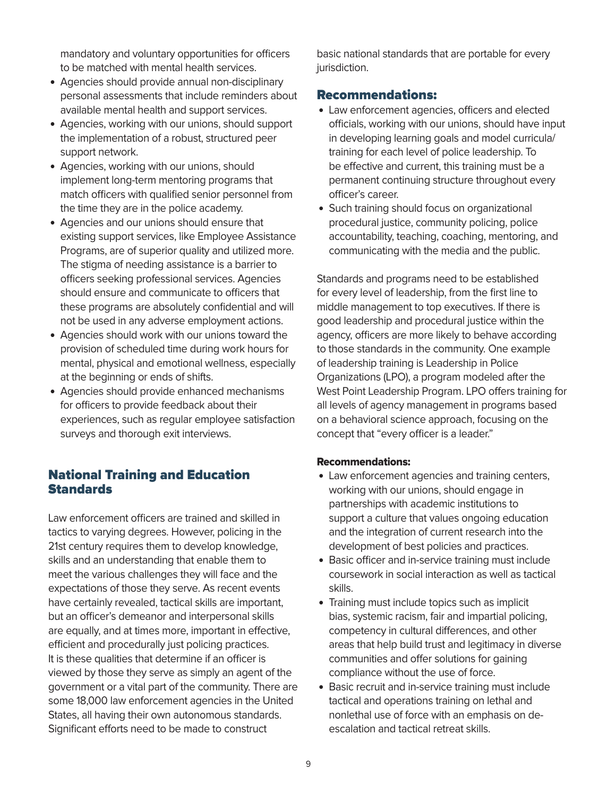mandatory and voluntary opportunities for officers to be matched with mental health services.

- Agencies should provide annual non-disciplinary personal assessments that include reminders about available mental health and support services.
- Agencies, working with our unions, should support the implementation of a robust, structured peer support network.
- Agencies, working with our unions, should implement long-term mentoring programs that match officers with qualified senior personnel from the time they are in the police academy.
- Agencies and our unions should ensure that existing support services, like Employee Assistance Programs, are of superior quality and utilized more. The stigma of needing assistance is a barrier to officers seeking professional services. Agencies should ensure and communicate to officers that these programs are absolutely confidential and will not be used in any adverse employment actions.
- Agencies should work with our unions toward the provision of scheduled time during work hours for mental, physical and emotional wellness, especially at the beginning or ends of shifts.
- Agencies should provide enhanced mechanisms for officers to provide feedback about their experiences, such as regular employee satisfaction surveys and thorough exit interviews.

# National Training and Education **Standards**

Law enforcement officers are trained and skilled in tactics to varying degrees. However, policing in the 21st century requires them to develop knowledge, skills and an understanding that enable them to meet the various challenges they will face and the expectations of those they serve. As recent events have certainly revealed, tactical skills are important, but an officer's demeanor and interpersonal skills are equally, and at times more, important in effective, efficient and procedurally just policing practices. It is these qualities that determine if an officer is viewed by those they serve as simply an agent of the government or a vital part of the community. There are some 18,000 law enforcement agencies in the United States, all having their own autonomous standards. Significant efforts need to be made to construct

basic national standards that are portable for every jurisdiction.

# Recommendations:

- Law enforcement agencies, officers and elected officials, working with our unions, should have input in developing learning goals and model curricula/ training for each level of police leadership. To be effective and current, this training must be a permanent continuing structure throughout every officer's career.
- Such training should focus on organizational procedural justice, community policing, police accountability, teaching, coaching, mentoring, and communicating with the media and the public.

Standards and programs need to be established for every level of leadership, from the first line to middle management to top executives. If there is good leadership and procedural justice within the agency, officers are more likely to behave according to those standards in the community. One example of leadership training is Leadership in Police Organizations (LPO), a program modeled after the West Point Leadership Program. LPO offers training for all levels of agency management in programs based on a behavioral science approach, focusing on the concept that "every officer is a leader."

#### Recommendations:

- Law enforcement agencies and training centers, working with our unions, should engage in partnerships with academic institutions to support a culture that values ongoing education and the integration of current research into the development of best policies and practices.
- Basic officer and in-service training must include coursework in social interaction as well as tactical skills.
- Training must include topics such as implicit bias, systemic racism, fair and impartial policing, competency in cultural differences, and other areas that help build trust and legitimacy in diverse communities and offer solutions for gaining compliance without the use of force.
- Basic recruit and in-service training must include tactical and operations training on lethal and nonlethal use of force with an emphasis on deescalation and tactical retreat skills.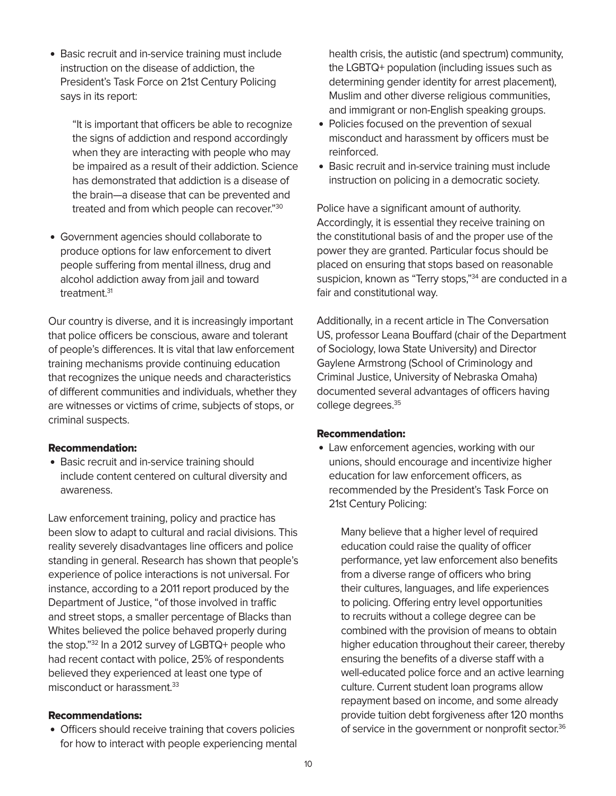<span id="page-9-0"></span>• Basic recruit and in-service training must include instruction on the disease of addiction, the President's Task Force on 21st Century Policing says in its report:

"It is important that officers be able to recognize the signs of addiction and respond accordingly when they are interacting with people who may be impaired as a result of their addiction. Science has demonstrated that addiction is a disease of the brain—a disease that can be prevented and treated and from which people can recover.["30](#page-12-0)

• Government agencies should collaborate to produce options for law enforcement to divert people suffering from mental illness, drug and alcohol addiction away from jail and toward treatment.<sup>[31](#page-12-0)</sup>

Our country is diverse, and it is increasingly important that police officers be conscious, aware and tolerant of people's differences. It is vital that law enforcement training mechanisms provide continuing education that recognizes the unique needs and characteristics of different communities and individuals, whether they are witnesses or victims of crime, subjects of stops, or criminal suspects.

#### Recommendation:

• Basic recruit and in-service training should include content centered on cultural diversity and awareness.

Law enforcement training, policy and practice has been slow to adapt to cultural and racial divisions. This reality severely disadvantages line officers and police standing in general. Research has shown that people's experience of police interactions is not universal. For instance, according to a 2011 report produced by the Department of Justice, "of those involved in traffic and street stops, a smaller percentage of Blacks than Whites believed the police behaved properly during the stop."[32](#page-12-0) In a 2012 survey of LGBTQ+ people who had recent contact with police, 25% of respondents believed they experienced at least one type of misconduct or harassment.<sup>33</sup>

#### Recommendations:

• Officers should receive training that covers policies for how to interact with people experiencing mental

health crisis, the autistic (and spectrum) community, the LGBTQ+ population (including issues such as determining gender identity for arrest placement), Muslim and other diverse religious communities, and immigrant or non-English speaking groups.

- Policies focused on the prevention of sexual misconduct and harassment by officers must be reinforced.
- Basic recruit and in-service training must include instruction on policing in a democratic society.

Police have a significant amount of authority. Accordingly, it is essential they receive training on the constitutional basis of and the proper use of the power they are granted. Particular focus should be placed on ensuring that stops based on reasonable suspicion, known as "Terry stops,"<sup>34</sup> are conducted in a fair and constitutional way.

Additionally, in a recent article in The Conversation US, professor Leana Bouffard (chair of the Department of Sociology, Iowa State University) and Director Gaylene Armstrong (School of Criminology and Criminal Justice, University of Nebraska Omaha) documented several advantages of officers having college degrees.<sup>[35](#page-12-0)</sup>

#### Recommendation:

• Law enforcement agencies, working with our unions, should encourage and incentivize higher education for law enforcement officers, as recommended by the President's Task Force on 21st Century Policing:

Many believe that a higher level of required education could raise the quality of officer performance, yet law enforcement also benefits from a diverse range of officers who bring their cultures, languages, and life experiences to policing. Offering entry level opportunities to recruits without a college degree can be combined with the provision of means to obtain higher education throughout their career, thereby ensuring the benefits of a diverse staff with a well-educated police force and an active learning culture. Current student loan programs allow repayment based on income, and some already provide tuition debt forgiveness after 120 months of service in the government or nonprofit sector.<sup>36</sup>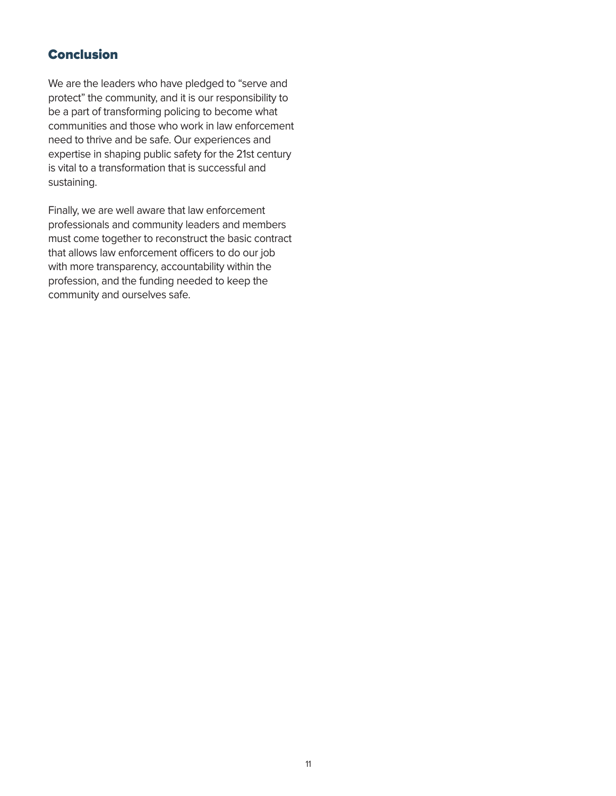# Conclusion

We are the leaders who have pledged to "serve and protect" the community, and it is our responsibility to be a part of transforming policing to become what communities and those who work in law enforcement need to thrive and be safe. Our experiences and expertise in shaping public safety for the 21st century is vital to a transformation that is successful and sustaining.

Finally, we are well aware that law enforcement professionals and community leaders and members must come together to reconstruct the basic contract that allows law enforcement officers to do our job with more transparency, accountability within the profession, and the funding needed to keep the community and ourselves safe.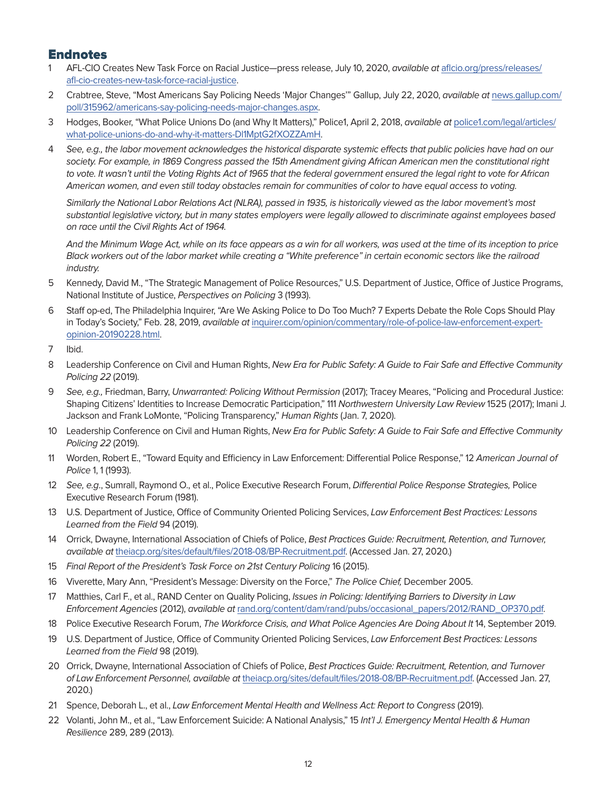# <span id="page-11-0"></span>**Endnotes**

- [1](#page-1-0) AFL-CIO Creates New Task Force on Racial Justice—press release, July 10, 2020, available at [aflcio.org/press/releases/](https://aflcio.org/press/releases/afl-cio-creates-new-task-force-racial-justice) [afl-cio-creates-new-task-force-racial-justice](https://aflcio.org/press/releases/afl-cio-creates-new-task-force-racial-justice).
- [2](#page-2-0) Crabtree, Steve, "Most Americans Say Policing Needs 'Major Changes'" Gallup, July 22, 2020, available at [news.gallup.com/](http://news.gallup.com/poll/315962/americans-say-policing-needs-major-changes.aspx) [poll/315962/americans-say-policing-needs-major-changes.aspx](http://news.gallup.com/poll/315962/americans-say-policing-needs-major-changes.aspx).
- [3](#page-2-0) Hodges, Booker, "What Police Unions Do (and Why It Matters)," Police1, April 2, 2018, available at [police1.com/legal/articles/](http://police1.com/legal/articles/what-police-unions-do-and-why-it-matters-Dl1MptG2fXOZZAmH) [what-police-unions-do-and-why-it-matters-Dl1MptG2fXOZZAmH.](http://police1.com/legal/articles/what-police-unions-do-and-why-it-matters-Dl1MptG2fXOZZAmH)
- [4](#page-3-0) See, e.g., the labor movement acknowledges the historical disparate systemic effects that public policies have had on our society. For example, in 1869 Congress passed the 15th Amendment giving African American men the constitutional right to vote. It wasn't until the Voting Rights Act of 1965 that the federal government ensured the legal right to vote for African American women, and even still today obstacles remain for communities of color to have equal access to voting.

Similarly the National Labor Relations Act (NLRA), passed in 1935, is historically viewed as the labor movement's most substantial legislative victory, but in many states employers were legally allowed to discriminate against employees based on race until the Civil Rights Act of 1964.

And the Minimum Wage Act, while on its face appears as a win for all workers, was used at the time of its inception to price Black workers out of the labor market while creating a "White preference" in certain economic sectors like the railroad industry.

- [5](#page-4-0) Kennedy, David M., "The Strategic Management of Police Resources," U.S. Department of Justice, Office of Justice Programs, National Institute of Justice, Perspectives on Policing 3 (1993).
- [6](#page-4-0) Staff op-ed, The Philadelphia Inquirer, "Are We Asking Police to Do Too Much? 7 Experts Debate the Role Cops Should Play in Today's Society," Feb. 28, 2019, available at [inquirer.com/opinion/commentary/role-of-police-law-enforcement-expert](https://www.inquirer.com/opinion/commentary/role-of-police-law-enforcement-expert-opinion-20190228.html)[opinion-20190228.html.](https://www.inquirer.com/opinion/commentary/role-of-police-law-enforcement-expert-opinion-20190228.html)
- [7](#page-4-0) Ibid.
- [8](#page-4-0) Leadership Conference on Civil and Human Rights, New Era for Public Safety: A Guide to Fair Safe and Effective Community Policing 22 (2019).
- [9](#page-4-0) See, e.g., Friedman, Barry, Unwarranted: Policing Without Permission (2017); Tracey Meares, "Policing and Procedural Justice: Shaping Citizens' Identities to Increase Democratic Participation," 111 Northwestern University Law Review 1525 (2017); Imani J. Jackson and Frank LoMonte, "Policing Transparency," Human Rights (Jan. 7, 2020).
- [10](#page-4-0) Leadership Conference on Civil and Human Rights, New Era for Public Safety: A Guide to Fair Safe and Effective Community Policing 22 (2019).
- [11](#page-5-0) Worden, Robert E., "Toward Equity and Efficiency in Law Enforcement: Differential Police Response," 12 American Journal of Police 1, 1 (1993).
- [12](#page-5-0) See, e.g., Sumrall, Raymond O., et al., Police Executive Research Forum, Differential Police Response Strategies, Police Executive Research Forum (1981).
- [13](#page-5-0) U.S. Department of Justice, Office of Community Oriented Policing Services, Law Enforcement Best Practices: Lessons Learned from the Field 94 (2019).
- [14](#page-5-0) Orrick, Dwayne, International Association of Chiefs of Police, Best Practices Guide: Recruitment, Retention, and Turnover, available at [theiacp.org/sites/default/files/2018-08/BP-Recruitment.pdf](https://www.theiacp.org/sites/default/files/2018-08/BP-Recruitment.pdf). (Accessed Jan. 27, 2020.)
- [15](#page-5-0) Final Report of the President's Task Force on 21st Century Policing 16 (2015).
- [16](#page-5-0) Viverette, Mary Ann, "President's Message: Diversity on the Force," The Police Chief, December 2005.
- [17](#page-5-0) Matthies, Carl F., et al., RAND Center on Quality Policing, Issues in Policing: Identifying Barriers to Diversity in Law Enforcement Agencies (2012), available at [rand.org/content/dam/rand/pubs/occasional\\_papers/2012/RAND\\_OP370.pdf](http://rand.org/content/dam/rand/pubs/occasional_papers/2012/RAND_OP370.pdf).
- [18](#page-6-0) Police Executive Research Forum, The Workforce Crisis, and What Police Agencies Are Doing About It 14, September 2019.
- [19](#page-6-0) U.S. Department of Justice, Office of Community Oriented Policing Services, Law Enforcement Best Practices: Lessons Learned from the Field 98 (2019).
- [20](#page-6-0) Orrick, Dwayne, International Association of Chiefs of Police, Best Practices Guide: Recruitment, Retention, and Turnover of Law Enforcement Personnel, available at [theiacp.org/sites/default/files/2018-08/BP-Recruitment.pdf](http://theiacp.org/sites/default/files/2018-08/BP-Recruitment.pdf). (Accessed Jan. 27, 2020.)
- [21](#page-7-0) Spence, Deborah L., et al., Law Enforcement Mental Health and Wellness Act: Report to Congress (2019).
- [22](#page-7-0) Volanti, John M., et al., "Law Enforcement Suicide: A National Analysis," 15 Int'l J. Emergency Mental Health & Human Resilience 289, 289 (2013).